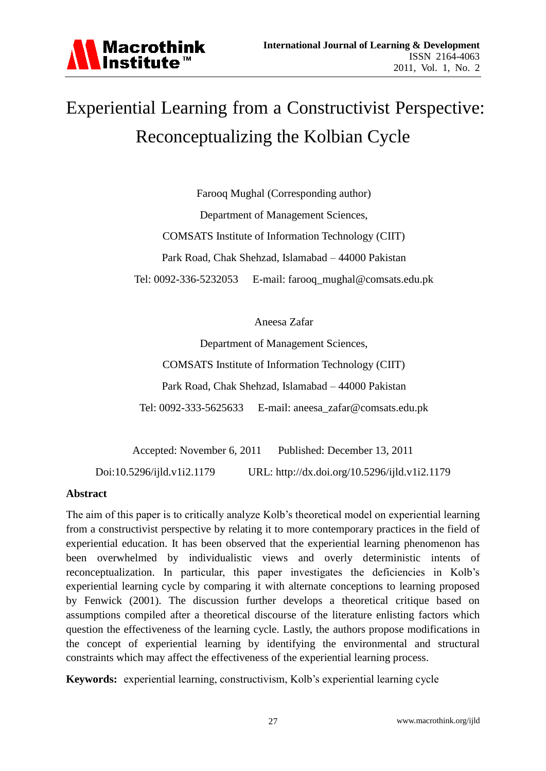

# Experiential Learning from a Constructivist Perspective: Reconceptualizing the Kolbian Cycle

Farooq Mughal (Corresponding author) Department of Management Sciences, COMSATS Institute of Information Technology (CIIT) Park Road, Chak Shehzad, Islamabad – 44000 Pakistan Tel: 0092-336-5232053 E-mail: farooq\_mughal@comsats.edu.pk

Aneesa Zafar

Department of Management Sciences, COMSATS Institute of Information Technology (CIIT) Park Road, Chak Shehzad, Islamabad – 44000 Pakistan Tel: 0092-333-5625633 E-mail: aneesa\_zafar@comsats.edu.pk

Accepted: November 6, 2011 Published: December 13, 2011 Doi:10.5296/ijld.v1i2.1179 URL: http://dx.doi.org/10.5296/ijld.v1i2.1179

#### **Abstract**

The aim of this paper is to critically analyze Kolb's theoretical model on experiential learning from a constructivist perspective by relating it to more contemporary practices in the field of experiential education. It has been observed that the experiential learning phenomenon has been overwhelmed by individualistic views and overly deterministic intents of reconceptualization. In particular, this paper investigates the deficiencies in Kolb"s experiential learning cycle by comparing it with alternate conceptions to learning proposed by Fenwick (2001). The discussion further develops a theoretical critique based on assumptions compiled after a theoretical discourse of the literature enlisting factors which question the effectiveness of the learning cycle. Lastly, the authors propose modifications in the concept of experiential learning by identifying the environmental and structural constraints which may affect the effectiveness of the experiential learning process.

Keywords: experiential learning, constructivism, Kolb's experiential learning cycle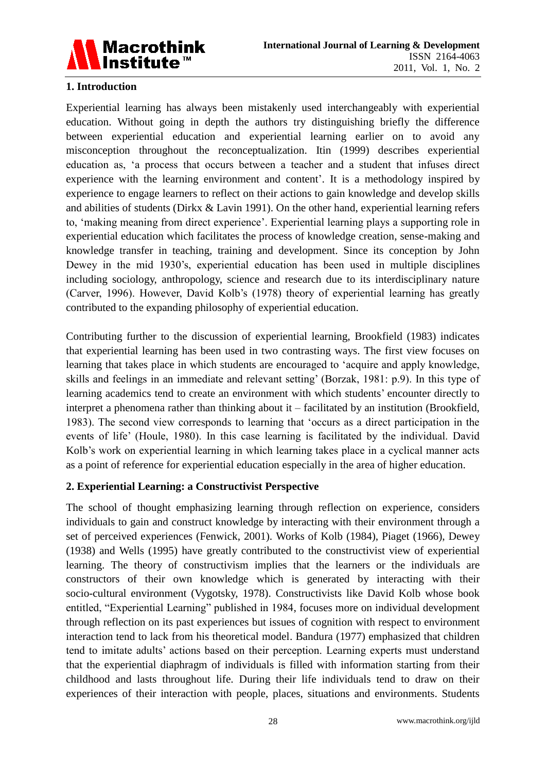

# **1. Introduction**

Experiential learning has always been mistakenly used interchangeably with experiential education. Without going in depth the authors try distinguishing briefly the difference between experiential education and experiential learning earlier on to avoid any misconception throughout the reconceptualization. Itin (1999) describes experiential education as, "a process that occurs between a teacher and a student that infuses direct experience with the learning environment and content'. It is a methodology inspired by experience to engage learners to reflect on their actions to gain knowledge and develop skills and abilities of students (Dirkx & Lavin 1991). On the other hand, experiential learning refers to, "making meaning from direct experience". Experiential learning plays a supporting role in experiential education which facilitates the process of knowledge creation, sense-making and knowledge transfer in teaching, training and development. Since its conception by John Dewey in the mid 1930's, experiential education has been used in multiple disciplines including sociology, anthropology, science and research due to its interdisciplinary nature (Carver, 1996). However, David Kolb"s (1978) theory of experiential learning has greatly contributed to the expanding philosophy of experiential education.

Contributing further to the discussion of experiential learning, Brookfield (1983) indicates that experiential learning has been used in two contrasting ways. The first view focuses on learning that takes place in which students are encouraged to "acquire and apply knowledge, skills and feelings in an immediate and relevant setting' (Borzak, 1981: p.9). In this type of learning academics tend to create an environment with which students' encounter directly to interpret a phenomena rather than thinking about it – facilitated by an institution (Brookfield, 1983). The second view corresponds to learning that "occurs as a direct participation in the events of life" (Houle, 1980). In this case learning is facilitated by the individual. David Kolb's work on experiential learning in which learning takes place in a cyclical manner acts as a point of reference for experiential education especially in the area of higher education.

#### **2. Experiential Learning: a Constructivist Perspective**

The school of thought emphasizing learning through reflection on experience, considers individuals to gain and construct knowledge by interacting with their environment through a set of perceived experiences (Fenwick, 2001). Works of Kolb (1984), Piaget (1966), Dewey (1938) and Wells (1995) have greatly contributed to the constructivist view of experiential learning. The theory of constructivism implies that the learners or the individuals are constructors of their own knowledge which is generated by interacting with their socio-cultural environment (Vygotsky, 1978). Constructivists like David Kolb whose book entitled, "Experiential Learning" published in 1984, focuses more on individual development through reflection on its past experiences but issues of cognition with respect to environment interaction tend to lack from his theoretical model. Bandura (1977) emphasized that children tend to imitate adults" actions based on their perception. Learning experts must understand that the experiential diaphragm of individuals is filled with information starting from their childhood and lasts throughout life. During their life individuals tend to draw on their experiences of their interaction with people, places, situations and environments. Students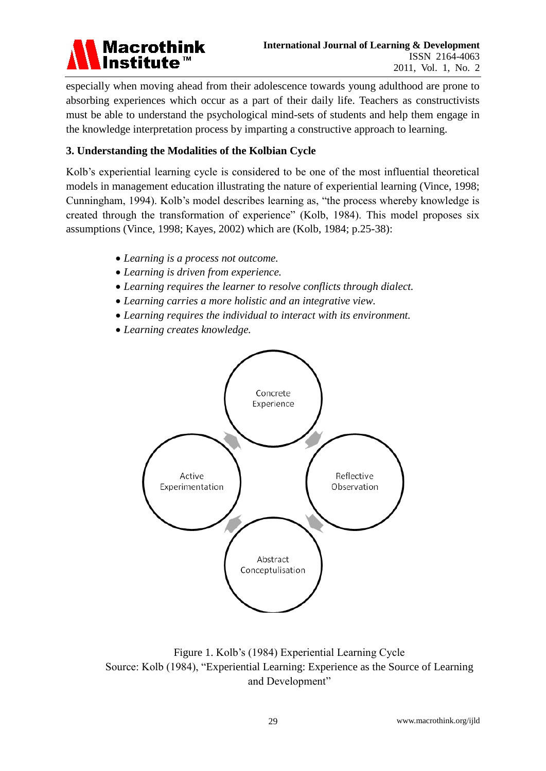

especially when moving ahead from their adolescence towards young adulthood are prone to absorbing experiences which occur as a part of their daily life. Teachers as constructivists must be able to understand the psychological mind-sets of students and help them engage in the knowledge interpretation process by imparting a constructive approach to learning.

# **3. Understanding the Modalities of the Kolbian Cycle**

Kolb"s experiential learning cycle is considered to be one of the most influential theoretical models in management education illustrating the nature of experiential learning (Vince, 1998; Cunningham, 1994). Kolb"s model describes learning as, "the process whereby knowledge is created through the transformation of experience" (Kolb, 1984). This model proposes six assumptions (Vince, 1998; Kayes, 2002) which are (Kolb, 1984; p.25-38):

- *Learning is a process not outcome.*
- *Learning is driven from experience.*
- *Learning requires the learner to resolve conflicts through dialect.*
- *Learning carries a more holistic and an integrative view.*
- *Learning requires the individual to interact with its environment.*
- *Learning creates knowledge.*



Figure 1. Kolb"s (1984) Experiential Learning Cycle Source: Kolb (1984), "Experiential Learning: Experience as the Source of Learning and Development"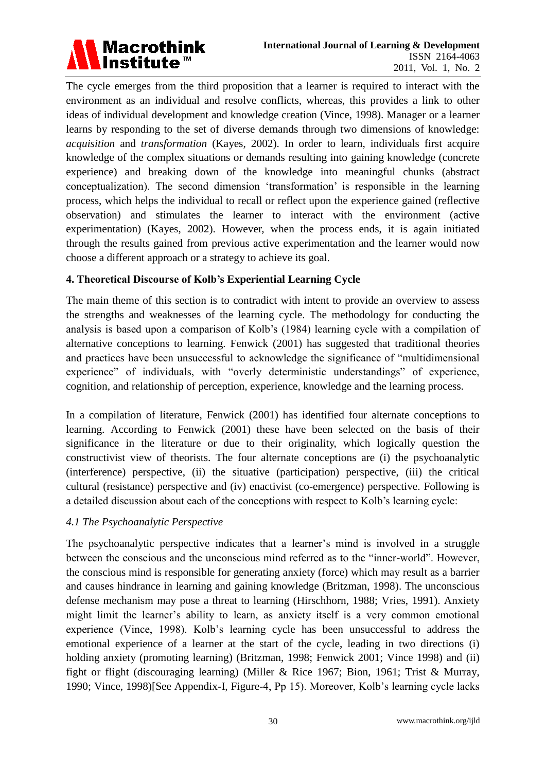

The cycle emerges from the third proposition that a learner is required to interact with the environment as an individual and resolve conflicts, whereas, this provides a link to other ideas of individual development and knowledge creation (Vince, 1998). Manager or a learner learns by responding to the set of diverse demands through two dimensions of knowledge: *acquisition* and *transformation* (Kayes, 2002). In order to learn, individuals first acquire knowledge of the complex situations or demands resulting into gaining knowledge (concrete experience) and breaking down of the knowledge into meaningful chunks (abstract conceptualization). The second dimension "transformation" is responsible in the learning process, which helps the individual to recall or reflect upon the experience gained (reflective observation) and stimulates the learner to interact with the environment (active experimentation) (Kayes, 2002). However, when the process ends, it is again initiated through the results gained from previous active experimentation and the learner would now choose a different approach or a strategy to achieve its goal.

# **4. Theoretical Discourse of Kolb's Experiential Learning Cycle**

The main theme of this section is to contradict with intent to provide an overview to assess the strengths and weaknesses of the learning cycle. The methodology for conducting the analysis is based upon a comparison of Kolb"s (1984) learning cycle with a compilation of alternative conceptions to learning. Fenwick (2001) has suggested that traditional theories and practices have been unsuccessful to acknowledge the significance of "multidimensional experience" of individuals, with "overly deterministic understandings" of experience, cognition, and relationship of perception, experience, knowledge and the learning process.

In a compilation of literature, Fenwick (2001) has identified four alternate conceptions to learning. According to Fenwick (2001) these have been selected on the basis of their significance in the literature or due to their originality, which logically question the constructivist view of theorists. The four alternate conceptions are (i) the psychoanalytic (interference) perspective, (ii) the situative (participation) perspective, (iii) the critical cultural (resistance) perspective and (iv) enactivist (co-emergence) perspective. Following is a detailed discussion about each of the conceptions with respect to Kolb"s learning cycle:

#### *4.1 The Psychoanalytic Perspective*

The psychoanalytic perspective indicates that a learner's mind is involved in a struggle between the conscious and the unconscious mind referred as to the "inner-world". However, the conscious mind is responsible for generating anxiety (force) which may result as a barrier and causes hindrance in learning and gaining knowledge (Britzman, 1998). The unconscious defense mechanism may pose a threat to learning (Hirschhorn, 1988; Vries, 1991). Anxiety might limit the learner's ability to learn, as anxiety itself is a very common emotional experience (Vince, 1998). Kolb"s learning cycle has been unsuccessful to address the emotional experience of a learner at the start of the cycle, leading in two directions (i) holding anxiety (promoting learning) (Britzman, 1998; Fenwick 2001; Vince 1998) and (ii) fight or flight (discouraging learning) (Miller & Rice 1967; Bion, 1961; Trist & Murray, 1990; Vince, 1998)[See Appendix-I, Figure-4, Pp 15). Moreover, Kolb"s learning cycle lacks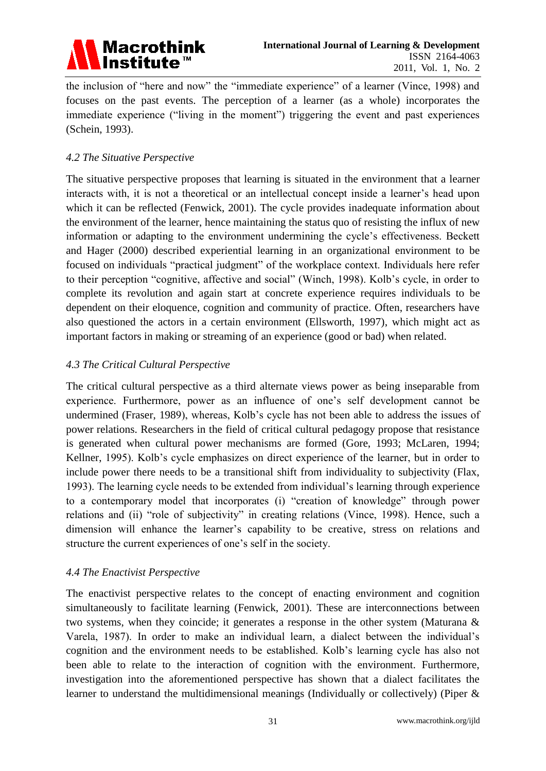

the inclusion of "here and now" the "immediate experience" of a learner (Vince, 1998) and focuses on the past events. The perception of a learner (as a whole) incorporates the immediate experience ("living in the moment") triggering the event and past experiences (Schein, 1993).

# *4.2 The Situative Perspective*

The situative perspective proposes that learning is situated in the environment that a learner interacts with, it is not a theoretical or an intellectual concept inside a learner"s head upon which it can be reflected (Fenwick, 2001). The cycle provides inadequate information about the environment of the learner, hence maintaining the status quo of resisting the influx of new information or adapting to the environment undermining the cycle"s effectiveness. Beckett and Hager (2000) described experiential learning in an organizational environment to be focused on individuals "practical judgment" of the workplace context. Individuals here refer to their perception "cognitive, affective and social" (Winch, 1998). Kolb"s cycle, in order to complete its revolution and again start at concrete experience requires individuals to be dependent on their eloquence, cognition and community of practice. Often, researchers have also questioned the actors in a certain environment (Ellsworth, 1997), which might act as important factors in making or streaming of an experience (good or bad) when related.

# *4.3 The Critical Cultural Perspective*

The critical cultural perspective as a third alternate views power as being inseparable from experience. Furthermore, power as an influence of one's self development cannot be undermined (Fraser, 1989), whereas, Kolb"s cycle has not been able to address the issues of power relations. Researchers in the field of critical cultural pedagogy propose that resistance is generated when cultural power mechanisms are formed (Gore, 1993; McLaren, 1994; Kellner, 1995). Kolb"s cycle emphasizes on direct experience of the learner, but in order to include power there needs to be a transitional shift from individuality to subjectivity (Flax, 1993). The learning cycle needs to be extended from individual"s learning through experience to a contemporary model that incorporates (i) "creation of knowledge" through power relations and (ii) "role of subjectivity" in creating relations (Vince, 1998). Hence, such a dimension will enhance the learner"s capability to be creative, stress on relations and structure the current experiences of one"s self in the society.

# *4.4 The Enactivist Perspective*

The enactivist perspective relates to the concept of enacting environment and cognition simultaneously to facilitate learning (Fenwick, 2001). These are interconnections between two systems, when they coincide; it generates a response in the other system (Maturana & Varela, 1987). In order to make an individual learn, a dialect between the individual"s cognition and the environment needs to be established. Kolb"s learning cycle has also not been able to relate to the interaction of cognition with the environment. Furthermore, investigation into the aforementioned perspective has shown that a dialect facilitates the learner to understand the multidimensional meanings (Individually or collectively) (Piper &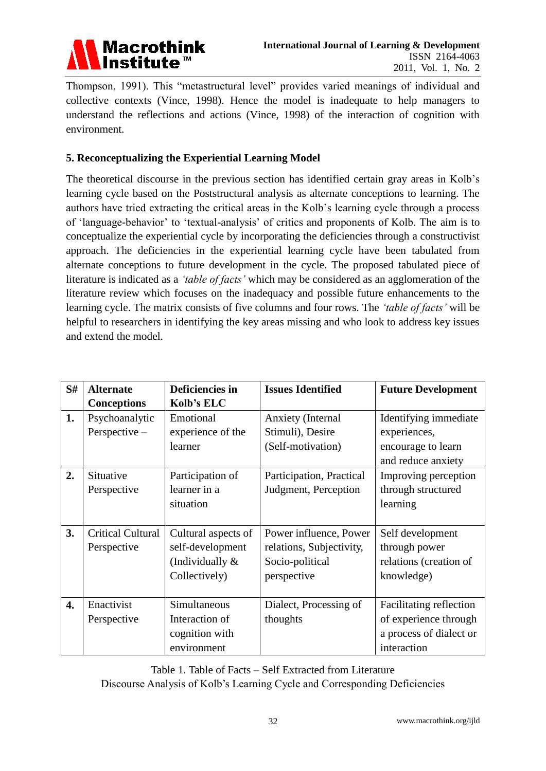

Thompson, 1991). This "metastructural level" provides varied meanings of individual and collective contexts (Vince, 1998). Hence the model is inadequate to help managers to understand the reflections and actions (Vince, 1998) of the interaction of cognition with environment.

# **5. Reconceptualizing the Experiential Learning Model**

The theoretical discourse in the previous section has identified certain gray areas in Kolb"s learning cycle based on the Poststructural analysis as alternate conceptions to learning. The authors have tried extracting the critical areas in the Kolb"s learning cycle through a process of "language-behavior" to "textual-analysis" of critics and proponents of Kolb. The aim is to conceptualize the experiential cycle by incorporating the deficiencies through a constructivist approach. The deficiencies in the experiential learning cycle have been tabulated from alternate conceptions to future development in the cycle. The proposed tabulated piece of literature is indicated as a *'table of facts'* which may be considered as an agglomeration of the literature review which focuses on the inadequacy and possible future enhancements to the learning cycle. The matrix consists of five columns and four rows. The *'table of facts'* will be helpful to researchers in identifying the key areas missing and who look to address key issues and extend the model.

| S#               | <b>Alternate</b>         | Deficiencies in     | <b>Issues Identified</b> | <b>Future Development</b> |
|------------------|--------------------------|---------------------|--------------------------|---------------------------|
|                  | <b>Conceptions</b>       | Kolb's ELC          |                          |                           |
| 1.               | Psychoanalytic           | Emotional           | Anxiety (Internal        | Identifying immediate     |
|                  | Perspective -            | experience of the   | Stimuli), Desire         | experiences,              |
|                  |                          | learner             | (Self-motivation)        | encourage to learn        |
|                  |                          |                     |                          | and reduce anxiety        |
| 2.               | Situative                | Participation of    | Participation, Practical | Improving perception      |
|                  | Perspective              | learner in a        | Judgment, Perception     | through structured        |
|                  |                          | situation           |                          | learning                  |
|                  |                          |                     |                          |                           |
| 3.               | <b>Critical Cultural</b> | Cultural aspects of | Power influence, Power   | Self development          |
|                  | Perspective              | self-development    | relations, Subjectivity, | through power             |
|                  |                          | (Individually $&$   | Socio-political          | relations (creation of    |
|                  |                          | Collectively)       | perspective              | knowledge)                |
|                  |                          |                     |                          |                           |
| $\overline{4}$ . | Enactivist               | Simultaneous        | Dialect, Processing of   | Facilitating reflection   |
|                  | Perspective              | Interaction of      | thoughts                 | of experience through     |
|                  |                          | cognition with      |                          | a process of dialect or   |
|                  |                          | environment         |                          | interaction               |

Table 1. Table of Facts – Self Extracted from Literature Discourse Analysis of Kolb"s Learning Cycle and Corresponding Deficiencies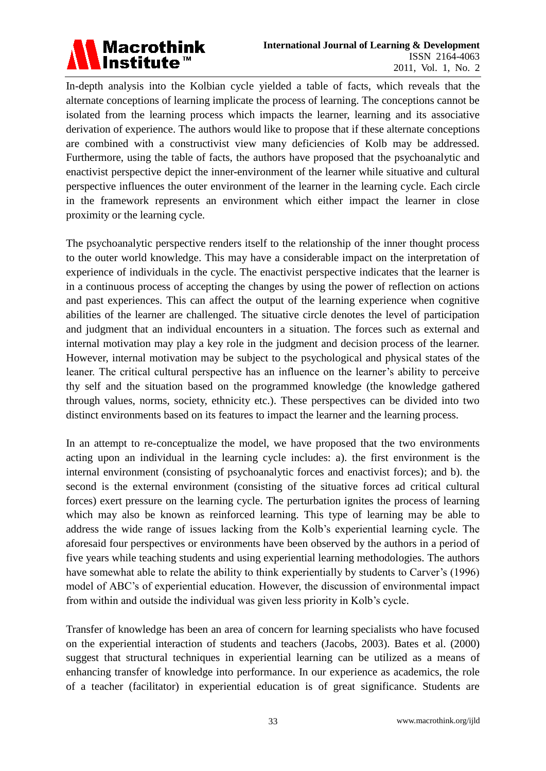

In-depth analysis into the Kolbian cycle yielded a table of facts, which reveals that the alternate conceptions of learning implicate the process of learning. The conceptions cannot be isolated from the learning process which impacts the learner, learning and its associative derivation of experience. The authors would like to propose that if these alternate conceptions are combined with a constructivist view many deficiencies of Kolb may be addressed. Furthermore, using the table of facts, the authors have proposed that the psychoanalytic and enactivist perspective depict the inner-environment of the learner while situative and cultural perspective influences the outer environment of the learner in the learning cycle. Each circle in the framework represents an environment which either impact the learner in close proximity or the learning cycle.

The psychoanalytic perspective renders itself to the relationship of the inner thought process to the outer world knowledge. This may have a considerable impact on the interpretation of experience of individuals in the cycle. The enactivist perspective indicates that the learner is in a continuous process of accepting the changes by using the power of reflection on actions and past experiences. This can affect the output of the learning experience when cognitive abilities of the learner are challenged. The situative circle denotes the level of participation and judgment that an individual encounters in a situation. The forces such as external and internal motivation may play a key role in the judgment and decision process of the learner. However, internal motivation may be subject to the psychological and physical states of the leaner. The critical cultural perspective has an influence on the learner's ability to perceive thy self and the situation based on the programmed knowledge (the knowledge gathered through values, norms, society, ethnicity etc.). These perspectives can be divided into two distinct environments based on its features to impact the learner and the learning process.

In an attempt to re-conceptualize the model, we have proposed that the two environments acting upon an individual in the learning cycle includes: a). the first environment is the internal environment (consisting of psychoanalytic forces and enactivist forces); and b). the second is the external environment (consisting of the situative forces ad critical cultural forces) exert pressure on the learning cycle. The perturbation ignites the process of learning which may also be known as reinforced learning. This type of learning may be able to address the wide range of issues lacking from the Kolb"s experiential learning cycle. The aforesaid four perspectives or environments have been observed by the authors in a period of five years while teaching students and using experiential learning methodologies. The authors have somewhat able to relate the ability to think experientially by students to Carver's (1996) model of ABC"s of experiential education. However, the discussion of environmental impact from within and outside the individual was given less priority in Kolb"s cycle.

Transfer of knowledge has been an area of concern for learning specialists who have focused on the experiential interaction of students and teachers (Jacobs, 2003). Bates et al. (2000) suggest that structural techniques in experiential learning can be utilized as a means of enhancing transfer of knowledge into performance. In our experience as academics, the role of a teacher (facilitator) in experiential education is of great significance. Students are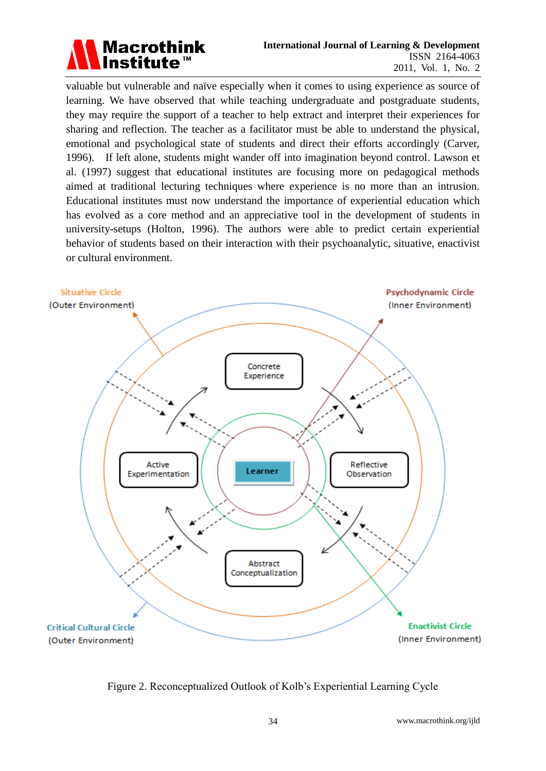

valuable but vulnerable and naïve especially when it comes to using experience as source of learning. We have observed that while teaching undergraduate and postgraduate students, they may require the support of a teacher to help extract and interpret their experiences for sharing and reflection. The teacher as a facilitator must be able to understand the physical, emotional and psychological state of students and direct their efforts accordingly (Carver, 1996). If left alone, students might wander off into imagination beyond control. Lawson et al. (1997) suggest that educational institutes are focusing more on pedagogical methods aimed at traditional lecturing techniques where experience is no more than an intrusion. Educational institutes must now understand the importance of experiential education which has evolved as a core method and an appreciative tool in the development of students in university-setups (Holton, 1996). The authors were able to predict certain experiential behavior of students based on their interaction with their psychoanalytic, situative, enactivist or cultural environment.



Figure 2. Reconceptualized Outlook of Kolb"s Experiential Learning Cycle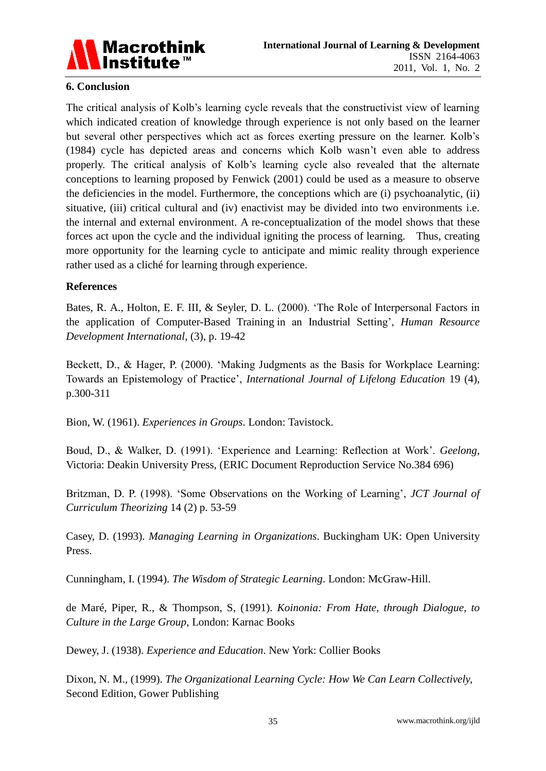

## **6. Conclusion**

The critical analysis of Kolb"s learning cycle reveals that the constructivist view of learning which indicated creation of knowledge through experience is not only based on the learner but several other perspectives which act as forces exerting pressure on the learner. Kolb"s (1984) cycle has depicted areas and concerns which Kolb wasn"t even able to address properly. The critical analysis of Kolb"s learning cycle also revealed that the alternate conceptions to learning proposed by Fenwick (2001) could be used as a measure to observe the deficiencies in the model. Furthermore, the conceptions which are (i) psychoanalytic, (ii) situative, (iii) critical cultural and (iv) enactivist may be divided into two environments i.e. the internal and external environment. A re-conceptualization of the model shows that these forces act upon the cycle and the individual igniting the process of learning. Thus, creating more opportunity for the learning cycle to anticipate and mimic reality through experience rather used as a cliché for learning through experience.

### **References**

Bates, R. A., Holton, E. F. III, & Seyler, D. L. (2000). "The Role of Interpersonal Factors in the application of Computer-Based Training in an Industrial Setting", *Human Resource Development International*, (3), p. 19-42

Beckett, D., & Hager, P. (2000). "Making Judgments as the Basis for Workplace Learning: Towards an Epistemology of Practice", *International Journal of Lifelong Education* 19 (4), p.300-311

Bion, W. (1961). *Experiences in Groups*. London: Tavistock.

Boud, D., & Walker, D. (1991). "Experience and Learning: Reflection at Work". *Geelong*, Victoria: Deakin University Press, (ERIC Document Reproduction Service No.384 696)

Britzman, D. P. (1998). "Some Observations on the Working of Learning", *JCT Journal of Curriculum Theorizing* 14 (2) p. 53-59

Casey, D. (1993). *Managing Learning in Organizations*. Buckingham UK: Open University Press.

Cunningham, I. (1994). *The Wisdom of Strategic Learning*. London: McGraw-Hill.

de Maré, Piper, R., & Thompson, S, (1991). *Koinonia: From Hate, through Dialogue, to Culture in the Large Group*, London: Karnac Books

Dewey, J. (1938). *Experience and Education*. New York: Collier Books

Dixon, N. M., (1999). *The Organizational Learning Cycle: How We Can Learn Collectively,* Second Edition, Gower Publishing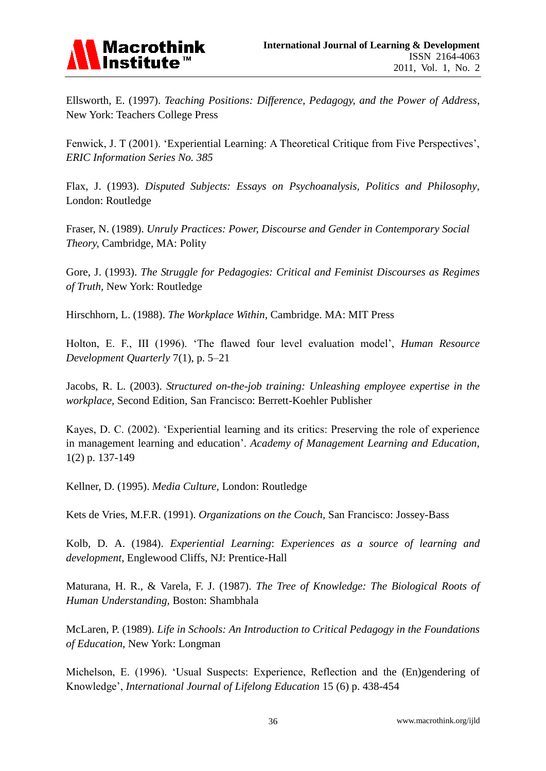

Ellsworth, E. (1997). *Teaching Positions: Difference, Pedagogy, and the Power of Address*, New York: Teachers College Press

Fenwick, J. T (2001). 'Experiential Learning: A Theoretical Critique from Five Perspectives', *ERIC Information Series No. 385*

Flax, J. (1993). *Disputed Subjects: Essays on Psychoanalysis, Politics and Philosophy*, London: Routledge

Fraser, N. (1989). *Unruly Practices: Power, Discourse and Gender in Contemporary Social Theory,* Cambridge, MA: Polity

Gore, J. (1993). *The Struggle for Pedagogies: Critical and Feminist Discourses as Regimes of Truth,* New York: Routledge

Hirschhorn, L. (1988). *The Workplace Within,* Cambridge. MA: MIT Press

Holton, E. F., III (1996). "The flawed four level evaluation model", *Human Resource Development Quarterly* 7(1), p. 5–21

Jacobs, R. L. (2003). *Structured on-the-job training: Unleashing employee expertise in the workplace,* Second Edition, San Francisco: Berrett-Koehler Publisher

Kayes, D. C. (2002). "Experiential learning and its critics: Preserving the role of experience in management learning and education". *Academy of Management Learning and Education,* 1(2) p. 137-149

Kellner, D. (1995). *Media Culture,* London: Routledge

Kets de Vries, M.F.R. (1991). *Organizations on the Couch,* San Francisco: Jossey-Bass

Kolb, D. A. (1984). *Experiential Learning*: *Experiences as a source of learning and development*, Englewood Cliffs, NJ: Prentice-Hall

Maturana, H. R., & Varela, F. J. (1987). *The Tree of Knowledge: The Biological Roots of Human Understanding,* Boston: Shambhala

McLaren, P. (1989). *Life in Schools: An Introduction to Critical Pedagogy in the Foundations of Education,* New York: Longman

Michelson, E. (1996). "Usual Suspects: Experience, Reflection and the (En)gendering of Knowledge", *International Journal of Lifelong Education* 15 (6) p. 438-454